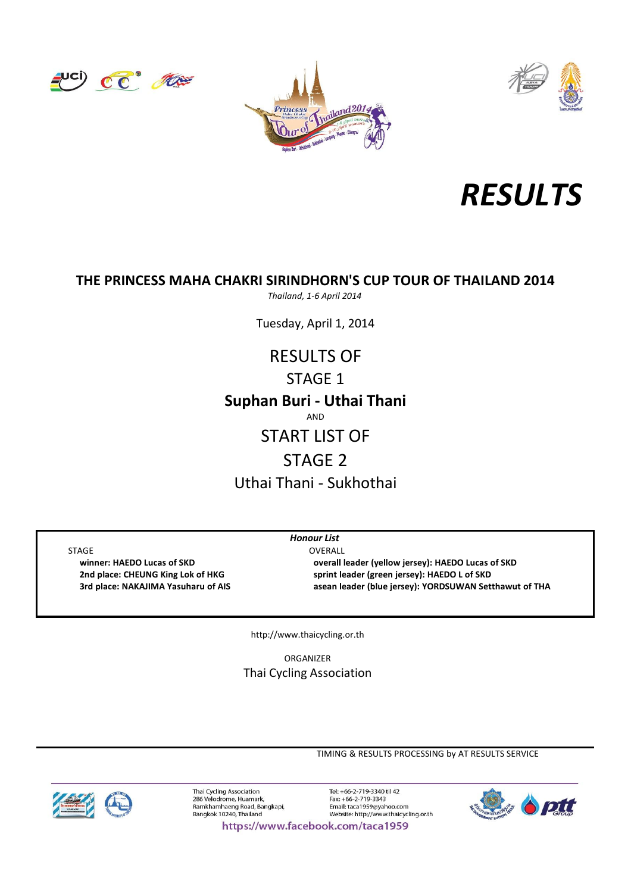







# **THE PRINCESS MAHA CHAKRI SIRINDHORN'S CUP TOUR OF THAILAND 2014**

*Thailand, 1-6 April 2014*

Tuesday, April 1, 2014

# **Suphan Buri - Uthai Thani** RESULTS OF STAGE 1 AND

# START LIST OF

# STAGE 2

Uthai Thani - Sukhothai

*Honour List*

STAGE OVERALL **winner: HAEDO Lucas of SKD overall leader (yellow jersey): HAEDO Lucas of SKD 2nd place: CHEUNG King Lok of HKG sprint leader (green jersey): HAEDO L of SKD 3rd place: NAKAJIMA Yasuharu of AIS asean leader (blue jersey): YORDSUWAN Setthawut of THA**

http://www.thaicycling.or.th

Thai Cycling Association ORGANIZER

TIMING & RESULTS PROCESSING by AT RESULTS SERVICE



Thai Cycling Association 286 Velodrome, Huamark. zoo veloulonle, Huamark,<br>Ramkhamhaeng Road, Bangkapi,<br>Bangkok 10240, Thailand

Tel: +66-2-719-3340 til 42 Fax: +66-2-719-3343 Email: taca1959@yahoo.com Website: http://www.thaicycling.or.th



https://www.facebook.com/taca1959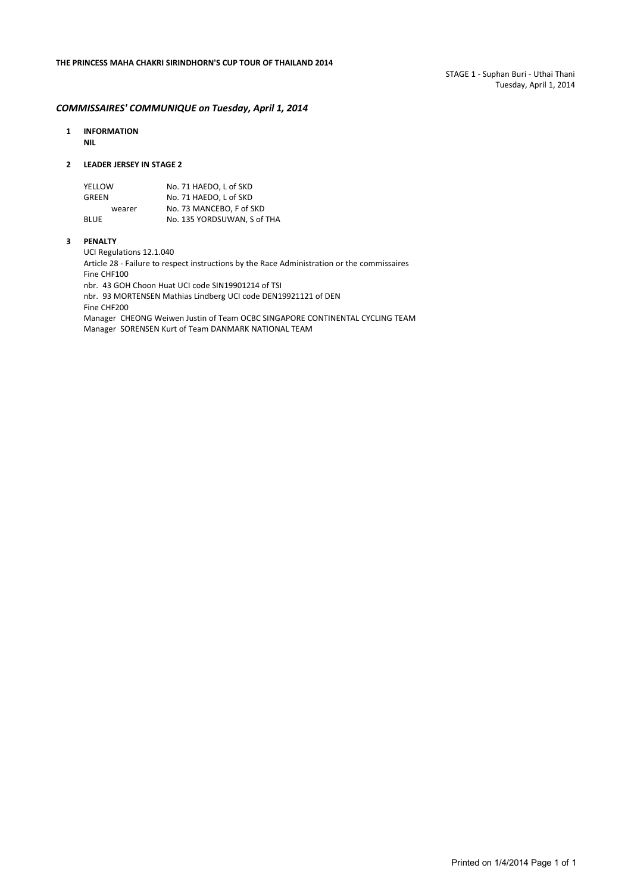#### *COMMISSAIRES' COMMUNIQUE on Tuesday, April 1, 2014*

**1 INFORMATION NIL**

#### **2 LEADER JERSEY IN STAGE 2**

| YELLOW      | No. 71 HAEDO. L of SKD      |
|-------------|-----------------------------|
| GREEN       | No. 71 HAEDO. L of SKD      |
| wearer      | No. 73 MANCEBO, F of SKD    |
| <b>BLUE</b> | No. 135 YORDSUWAN. S of THA |

#### **3 PENALTY**

UCI Regulations 12.1.040

Article 28 - Failure to respect instructions by the Race Administration or the commissaires Fine CHF100 nbr. 43 GOH Choon Huat UCI code SIN19901214 of TSI nbr. 93 MORTENSEN Mathias Lindberg UCI code DEN19921121 of DEN Fine CHF200

Manager CHEONG Weiwen Justin of Team OCBC SINGAPORE CONTINENTAL CYCLING TEAM Manager SORENSEN Kurt of Team DANMARK NATIONAL TEAM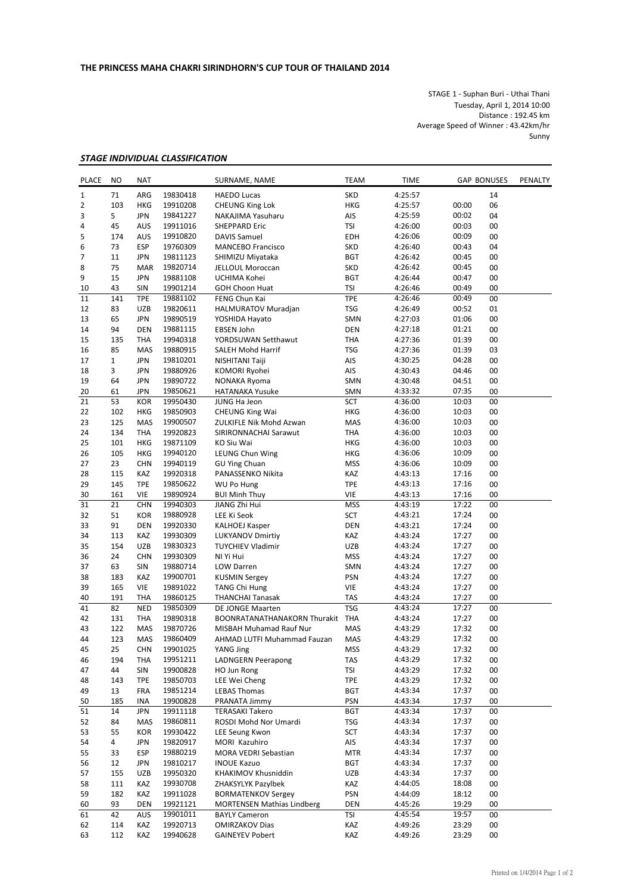STAGE 1 - Suphan Buri - Uthai Thani Tuesday, April 1, 2014 10:00 Distance : 192.45 km Average Speed of Winner : 43.42km/hr Sunny

### *STAGE INDIVIDUAL CLASSIFICATION*

| <b>PLACE</b> | <b>NO</b>      | <b>NAT</b>        |                      | SURNAME, NAME                             | <b>TEAM</b><br><b>TIME</b><br><b>GAP BONUSES</b> |                    | PENALTY        |          |  |
|--------------|----------------|-------------------|----------------------|-------------------------------------------|--------------------------------------------------|--------------------|----------------|----------|--|
| $1\,$        | 71             | ARG               | 19830418             | <b>HAEDO Lucas</b>                        | <b>SKD</b>                                       | 4:25:57            |                | 14       |  |
| 2            | 103            | <b>HKG</b>        | 19910208             | <b>CHEUNG King Lok</b>                    | <b>HKG</b>                                       | 4:25:57            | 00:00          | 06       |  |
| 3            | 5              | JPN               | 19841227             | NAKAJIMA Yasuharu                         | 00:02<br>AIS<br>4:25:59                          |                    | 04             |          |  |
| 4            | 45             | AUS               | 19911016             | <b>SHEPPARD Eric</b>                      | <b>TSI</b>                                       | 4:26:00            | 00:03          | 00       |  |
| 5            | 174            | AUS               | 19910820             | <b>DAVIS Samuel</b>                       | <b>EDH</b>                                       | 4:26:06            | 00:09          | 00       |  |
| 6            | 73             | <b>ESP</b>        | 19760309             | <b>MANCEBO Francisco</b>                  | <b>SKD</b>                                       | 4:26:40            | 00:43          | 04       |  |
| 7            | 11             | JPN               | 19811123             | SHIMIZU Miyataka                          | <b>BGT</b>                                       | 4:26:42            | 00:45          | 00       |  |
| 8            | 75             | <b>MAR</b>        | 19820714             | JELLOUL Moroccan                          | <b>SKD</b>                                       | 4:26:42            | 00:45          | 00       |  |
| 9            | 15             | <b>JPN</b>        | 19881108             | UCHIMA Kohei                              | <b>BGT</b>                                       | 4:26:44            | 00:47          | 00       |  |
| 10           | 43             | SIN               | 19901214             | <b>GOH Choon Huat</b>                     | <b>TSI</b>                                       | 4:26:46            | 00:49          | 00       |  |
| 11           | 141            | <b>TPE</b>        | 19881102             | FENG Chun Kai                             | <b>TPE</b>                                       | 4:26:46            | 00:49          | 00       |  |
| 12           | 83             | <b>UZB</b>        | 19820611             | HALMURATOV Muradjan                       | TSG                                              | 4:26:49            | 00:52          | 01       |  |
| 13           | 65             | JPN               | 19890519             | YOSHIDA Hayato                            | SMN                                              | 4:27:03            | 01:06          | 00       |  |
| 14           | 94             | <b>DEN</b>        | 19881115             | <b>EBSEN John</b>                         | <b>DEN</b>                                       | 4:27:18            | 01:21          | 00       |  |
| 15           | 135            | THA               | 19940318             | YORDSUWAN Setthawut                       | <b>THA</b>                                       | 4:27:36            | 01:39          | 00       |  |
| 16           | 85             | <b>MAS</b>        | 19880915             | SALEH Mohd Harrif                         | <b>TSG</b>                                       | 4:27:36            | 01:39          | 03       |  |
| 17           | 1              | JPN               | 19810201             | NISHITANI Taiji                           | AIS                                              | 4:30:25            | 04:28          | 00       |  |
| 18           | 3              | JPN               | 19880926             | KOMORI Ryohei                             | AIS                                              | 4:30:43            | 04:46          | 00       |  |
| 19           | 64             | <b>JPN</b>        | 19890722             | NONAKA Ryoma                              | SMN                                              | 4:30:48            | 04:51          | 00       |  |
| 20           | 61             | JPN               | 19850621             | <b>HATANAKA Yusuke</b>                    | SMN                                              | 4:33:32            | 07:35          | 00       |  |
| 21           | 53             | KOR               | 19950430             | JUNG Ha Jeon                              | SCT                                              | 4:36:00            | 10:03          | 00       |  |
| 22           | 102            | <b>HKG</b>        | 19850903             | <b>CHEUNG King Wai</b>                    | <b>HKG</b>                                       | 4:36:00            | 10:03          | 00       |  |
| 23           | 125            | MAS               | 19900507             | ZULKIFLE Nik Mohd Azwan                   | MAS                                              | 4:36:00            | 10:03          | 00       |  |
| 24           | 134            | THA               | 19920823             | SIRIRONNACHAI Sarawut                     | <b>THA</b>                                       | 4:36:00            | 10:03          | 00       |  |
| 25           | 101            | <b>HKG</b>        | 19871109             | KO Siu Wai                                | <b>HKG</b>                                       | 4:36:00            | 10:03          | 00       |  |
| 26           | 105            | HKG               | 19940120             | LEUNG Chun Wing                           | HKG                                              | 4:36:06            | 10:09          | 00<br>00 |  |
| 27           | 23<br>115      | <b>CHN</b>        | 19940119             | <b>GU Ying Chuan</b><br>PANASSENKO Nikita | <b>MSS</b><br>KAZ                                | 4:36:06            | 10:09          | 00       |  |
| 28<br>29     | 145            | KAZ<br><b>TPE</b> | 19920318             | WU Po Hung                                | <b>TPE</b>                                       | 4:43:13            | 17:16<br>17:16 | 00       |  |
| 30           | 161            | <b>VIE</b>        | 19850622<br>19890924 |                                           | <b>VIE</b>                                       | 4:43:13            | 17:16          | 00       |  |
| 31           | 21             | <b>CHN</b>        | 19940303             | <b>BUI Minh Thuy</b><br>JIANG Zhi Hui     | <b>MSS</b>                                       | 4:43:13<br>4:43:19 | 17:22          | 00       |  |
| 32           | 51             | <b>KOR</b>        | 19880928             | LEE Ki Seok                               | SCT                                              | 4:43:21            | 17:24          | 00       |  |
| 33           | 91             | <b>DEN</b>        | 19920330             | <b>KALHOEJ Kasper</b>                     | <b>DEN</b>                                       | 4:43:21            | 17:24          | 00       |  |
| 34           | 113            | KAZ               | 19930309             | <b>LUKYANOV Dmirtiy</b>                   | KAZ                                              | 4:43:24            | 17:27          | 00       |  |
| 35           | 154            | <b>UZB</b>        | 19830323             | <b>TUYCHIEV Vladimir</b>                  | UZB                                              | 4:43:24            | 17:27          | 00       |  |
| 36           | 24             | <b>CHN</b>        | 19930309             | NI Yi Hui                                 | <b>MSS</b>                                       | 4:43:24            | 17:27          | 00       |  |
| 37           | 63             | SIN               | 19880714             | LOW Darren                                | SMN                                              | 4:43:24            | 17:27          | 00       |  |
| 38           | 183            | KAZ               | 19900701             | <b>KUSMIN Sergey</b>                      | <b>PSN</b>                                       | 4:43:24            | 17:27          | 00       |  |
| 39           | 165            | <b>VIE</b>        | 19891022             | <b>TANG Chi Hung</b>                      | VIE                                              | 4:43:24            | 17:27          | 00       |  |
| 40           | 191            | THA               | 19860125             | <b>THANCHAI Tanasak</b>                   | <b>TAS</b>                                       | 4:43:24            | 17:27          | 00       |  |
| 41           | 82             | <b>NED</b>        | 19850309             | DE JONGE Maarten                          | <b>TSG</b>                                       | 4:43:24            | 17:27          | 00       |  |
| 42           | 131            | <b>THA</b>        | 19890318             | <b>BOONRATANATHANAKORN Thurakit</b>       | THA                                              | 4:43:24            | 17:27          | 00       |  |
| 43           | 122            | MAS               | 19870726             | <b>MISBAH Muhamad Rauf Nur</b>            | MAS                                              | 4:43:29            | 17:32          | 00       |  |
| 44           | 123            | MAS               | 19860409             | AHMAD LUTFI Muhammad Fauzan               | MAS                                              | 4:43:29            | 17:32          | 00       |  |
| 45           | 25             | <b>CHN</b>        | 19901025             | YANG Jing                                 | <b>MSS</b>                                       | 4:43:29            | 17:32          | $00\,$   |  |
| 46           | 194            | THA               | 19951211             | <b>LADNGERN Peerapong</b>                 | <b>TAS</b>                                       | 4:43:29            | 17:32          | 00       |  |
| 47           | 44             | SIN               | 19900828             | HO Jun Rong                               | TSI                                              | 4:43:29            | 17:32          | 00       |  |
| 48           | 143            | <b>TPE</b>        | 19850703             | LEE Wei Cheng                             | <b>TPE</b>                                       | 4:43:29            | 17:32          | 00       |  |
| 49           | 13             | <b>FRA</b>        | 19851214             | <b>LEBAS Thomas</b>                       | <b>BGT</b>                                       | 4:43:34            | 17:37          | 00       |  |
| 50           | 185            | INA               | 19900828             | PRANATA Jimmy                             | <b>PSN</b>                                       | 4:43:34            | 17:37          | 00       |  |
| 51           | 14             | JPN               | 19911118             | <b>TERASAKI Takero</b>                    | <b>BGT</b>                                       | 4:43:34            | 17:37          | 00       |  |
| 52           | 84             | MAS               | 19860811             | ROSDI Mohd Nor Umardi                     | <b>TSG</b>                                       | 4:43:34            | 17:37          | 00       |  |
| 53           | 55             | KOR               | 19930422             | LEE Seung Kwon                            | SCT                                              | 4:43:34            | 17:37          | 00       |  |
| 54           | $\overline{a}$ | JPN               | 19820917             | MORI Kazuhiro                             | AIS                                              | 4:43:34            | 17:37          | 00       |  |
| 55           | 33             | ESP               | 19880219             | MORA VEDRI Sebastian                      | <b>MTR</b>                                       | 4:43:34            | 17:37          | 00       |  |
| 56           | 12             | <b>JPN</b>        | 19810217             | <b>INOUE Kazuo</b>                        | <b>BGT</b>                                       | 4:43:34            | 17:37          | 00       |  |
| 57           | 155            | UZB               | 19950320             | KHAKIMOV Khusniddin                       | <b>UZB</b>                                       | 4:43:34            | 17:37          | 00       |  |
| 58           | 111            | KAZ               | 19930708             | ZHAKSYLYK Pazylbek                        | KAZ                                              | 4:44:05            | 18:08          | 00       |  |
| 59           | 182            | KAZ               | 19911028             | <b>BORMATENKOV Sergey</b>                 | <b>PSN</b>                                       | 4:44:09            | 18:12          | 00       |  |
| 60           | 93             | DEN               | 19921121             | <b>MORTENSEN Mathias Lindberg</b>         | <b>DEN</b>                                       | 4:45:26            | 19:29          | 00       |  |
| 61           | 42             | aus               | 19901011             | <b>BAYLY Cameron</b>                      | TSI                                              | 4:45:54            | 19:57          | 00       |  |
| 62           | 114            | KAZ               | 19920713             | <b>OMIRZAKOV Dias</b>                     | KAZ                                              | 4:49:26            | 23:29          | 00       |  |
| 63           | 112            | KAZ               | 19940628             | <b>GAINEYEV Pobert</b>                    | KAZ                                              | 4:49:26            | 23:29          | 00       |  |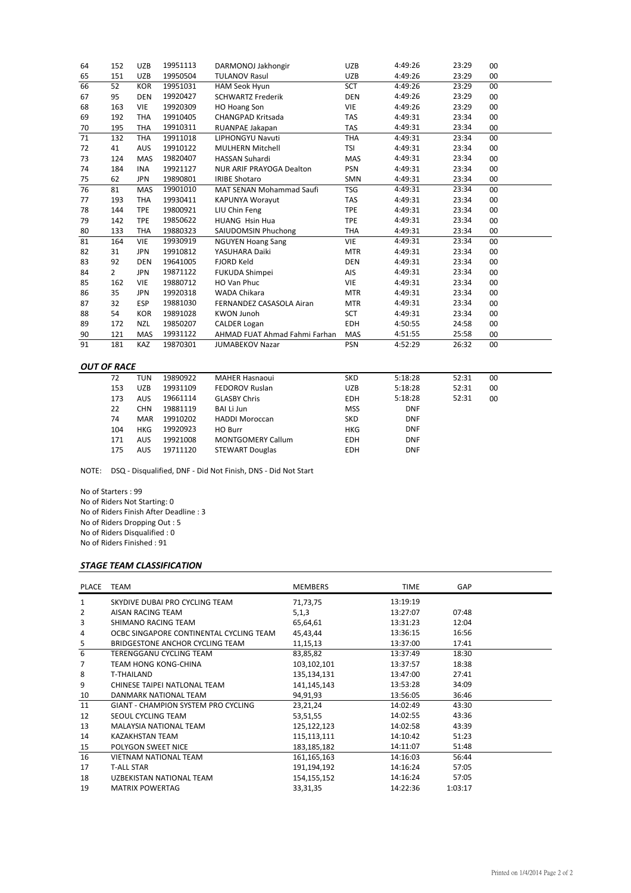| 65<br>151<br><b>UZB</b><br><b>TULANOV Rasul</b><br>UZB<br>4:49:26<br>23:29<br>00<br>19950504<br>66<br>00<br>52<br><b>KOR</b><br>19951031<br>HAM Seok Hyun<br><b>SCT</b><br>4:49:26<br>23:29<br>67<br>95<br><b>DEN</b><br>19920427<br><b>SCHWARTZ Frederik</b><br>DEN<br>4:49:26<br>23:29<br>00<br>68<br>163<br>00<br><b>VIE</b><br><b>VIE</b><br>4:49:26<br>23:29<br>19920309<br><b>HO Hoang Son</b><br>192<br><b>CHANGPAD Kritsada</b><br>00<br>69<br><b>THA</b><br>19910405<br><b>TAS</b><br>4:49:31<br>23:34<br>195<br>70<br><b>THA</b><br>19910311<br>RUANPAE Jakapan<br><b>TAS</b><br>4:49:31<br>23:34<br>00<br>71<br>132<br><b>LIPHONGYU Navuti</b><br>23:34<br>00<br><b>THA</b><br>19911018<br>THA<br>4:49:31<br>41<br><b>AUS</b><br>19910122<br><b>MULHERN Mitchell</b><br><b>TSI</b><br>4:49:31<br>23:34<br>00<br>72<br>73<br><b>MAS</b><br>19820407<br><b>HASSAN Suhardi</b><br>MAS<br>4:49:31<br>23:34<br>00<br>124<br><b>PSN</b><br>00<br>74<br>184<br><b>INA</b><br><b>NUR ARIF PRAYOGA Dealton</b><br>4:49:31<br>23:34<br>19921127<br><b>IRIBE Shotaro</b><br>75<br>62<br><b>JPN</b><br>19890801<br>SMN<br>4:49:31<br>23:34<br>00<br>76<br>00<br>81<br><b>MAS</b><br>MAT SENAN Mohammad Saufi<br>TSG<br>4:49:31<br>23:34<br>19901010<br>193<br>23:34<br>00<br>77<br><b>THA</b><br>19930411<br><b>KAPUNYA Worayut</b><br><b>TAS</b><br>4:49:31<br>LIU Chin Feng<br>144<br><b>TPE</b><br>19800921<br><b>TPE</b><br>4:49:31<br>23:34<br>00<br>78<br>4:49:31<br>23:34<br><b>TPE</b><br>19850622<br><b>HUANG Hsin Hua</b><br>79<br>142<br><b>TPE</b><br>00<br>133<br>19880323<br>SAIUDOMSIN Phuchong<br>4:49:31<br>23:34<br>00<br>80<br><b>THA</b><br><b>THA</b><br>81<br>23:34<br>19930919<br><b>VIE</b><br>4:49:31<br>00<br>164<br><b>VIE</b><br><b>NGUYEN Hoang Sang</b><br>19910812<br>4:49:31<br>23:34<br>82<br>31<br>YASUHARA Daiki<br><b>MTR</b><br>00<br><b>JPN</b><br>4:49:31<br>23:34<br>83<br>92<br><b>DEN</b><br>19641005<br><b>DEN</b><br>00<br><b>FJORD Keld</b><br>19871122<br>4:49:31<br>23:34<br>00<br>84<br>$\overline{2}$<br><b>JPN</b><br><b>FUKUDA Shimpei</b><br><b>AIS</b><br>4:49:31<br>23:34<br>162<br>19880712<br>HO Van Phuc<br>VIE<br>00<br>85<br><b>VIE</b><br>35<br>19920318<br><b>MTR</b><br>4:49:31<br>23:34<br>00<br>86<br><b>JPN</b><br>WADA Chikara<br>32<br>19881030<br><b>MTR</b><br>4:49:31<br>23:34<br>00<br>87<br>ESP<br>FERNANDEZ CASASOLA Airan<br>19891028<br>4:49:31<br>23:34<br>88<br>54<br><b>KOR</b><br><b>KWON Junoh</b><br><b>SCT</b><br>00<br>89<br><b>NZL</b><br>19850207<br><b>EDH</b><br>4:50:55<br>24:58<br>00<br>172<br><b>CALDER Logan</b><br>25:58<br>19931122<br>AHMAD FUAT Ahmad Fahmi Farhan<br>MAS<br>4:51:55<br>00<br>90<br>121<br><b>MAS</b><br>4:52:29<br>26:32<br>91<br>19870301<br>00<br>181<br><b>KAZ</b><br><b>PSN</b><br><b>JUMABEKOV Nazar</b> | 64 | 152 | <b>UZB</b> | 19951113 | DARMONOJ Jakhongir | <b>UZB</b> | 4:49:26 | 23:29 | 00 |
|-------------------------------------------------------------------------------------------------------------------------------------------------------------------------------------------------------------------------------------------------------------------------------------------------------------------------------------------------------------------------------------------------------------------------------------------------------------------------------------------------------------------------------------------------------------------------------------------------------------------------------------------------------------------------------------------------------------------------------------------------------------------------------------------------------------------------------------------------------------------------------------------------------------------------------------------------------------------------------------------------------------------------------------------------------------------------------------------------------------------------------------------------------------------------------------------------------------------------------------------------------------------------------------------------------------------------------------------------------------------------------------------------------------------------------------------------------------------------------------------------------------------------------------------------------------------------------------------------------------------------------------------------------------------------------------------------------------------------------------------------------------------------------------------------------------------------------------------------------------------------------------------------------------------------------------------------------------------------------------------------------------------------------------------------------------------------------------------------------------------------------------------------------------------------------------------------------------------------------------------------------------------------------------------------------------------------------------------------------------------------------------------------------------------------------------------------------------------------------------------------------------------------------------------------------------------------------------------------------------------------------------------------------------------------------------------------------------------------------------------------------------------------------------------------------------------------------|----|-----|------------|----------|--------------------|------------|---------|-------|----|
|                                                                                                                                                                                                                                                                                                                                                                                                                                                                                                                                                                                                                                                                                                                                                                                                                                                                                                                                                                                                                                                                                                                                                                                                                                                                                                                                                                                                                                                                                                                                                                                                                                                                                                                                                                                                                                                                                                                                                                                                                                                                                                                                                                                                                                                                                                                                                                                                                                                                                                                                                                                                                                                                                                                                                                                                                               |    |     |            |          |                    |            |         |       |    |
|                                                                                                                                                                                                                                                                                                                                                                                                                                                                                                                                                                                                                                                                                                                                                                                                                                                                                                                                                                                                                                                                                                                                                                                                                                                                                                                                                                                                                                                                                                                                                                                                                                                                                                                                                                                                                                                                                                                                                                                                                                                                                                                                                                                                                                                                                                                                                                                                                                                                                                                                                                                                                                                                                                                                                                                                                               |    |     |            |          |                    |            |         |       |    |
|                                                                                                                                                                                                                                                                                                                                                                                                                                                                                                                                                                                                                                                                                                                                                                                                                                                                                                                                                                                                                                                                                                                                                                                                                                                                                                                                                                                                                                                                                                                                                                                                                                                                                                                                                                                                                                                                                                                                                                                                                                                                                                                                                                                                                                                                                                                                                                                                                                                                                                                                                                                                                                                                                                                                                                                                                               |    |     |            |          |                    |            |         |       |    |
|                                                                                                                                                                                                                                                                                                                                                                                                                                                                                                                                                                                                                                                                                                                                                                                                                                                                                                                                                                                                                                                                                                                                                                                                                                                                                                                                                                                                                                                                                                                                                                                                                                                                                                                                                                                                                                                                                                                                                                                                                                                                                                                                                                                                                                                                                                                                                                                                                                                                                                                                                                                                                                                                                                                                                                                                                               |    |     |            |          |                    |            |         |       |    |
|                                                                                                                                                                                                                                                                                                                                                                                                                                                                                                                                                                                                                                                                                                                                                                                                                                                                                                                                                                                                                                                                                                                                                                                                                                                                                                                                                                                                                                                                                                                                                                                                                                                                                                                                                                                                                                                                                                                                                                                                                                                                                                                                                                                                                                                                                                                                                                                                                                                                                                                                                                                                                                                                                                                                                                                                                               |    |     |            |          |                    |            |         |       |    |
|                                                                                                                                                                                                                                                                                                                                                                                                                                                                                                                                                                                                                                                                                                                                                                                                                                                                                                                                                                                                                                                                                                                                                                                                                                                                                                                                                                                                                                                                                                                                                                                                                                                                                                                                                                                                                                                                                                                                                                                                                                                                                                                                                                                                                                                                                                                                                                                                                                                                                                                                                                                                                                                                                                                                                                                                                               |    |     |            |          |                    |            |         |       |    |
|                                                                                                                                                                                                                                                                                                                                                                                                                                                                                                                                                                                                                                                                                                                                                                                                                                                                                                                                                                                                                                                                                                                                                                                                                                                                                                                                                                                                                                                                                                                                                                                                                                                                                                                                                                                                                                                                                                                                                                                                                                                                                                                                                                                                                                                                                                                                                                                                                                                                                                                                                                                                                                                                                                                                                                                                                               |    |     |            |          |                    |            |         |       |    |
|                                                                                                                                                                                                                                                                                                                                                                                                                                                                                                                                                                                                                                                                                                                                                                                                                                                                                                                                                                                                                                                                                                                                                                                                                                                                                                                                                                                                                                                                                                                                                                                                                                                                                                                                                                                                                                                                                                                                                                                                                                                                                                                                                                                                                                                                                                                                                                                                                                                                                                                                                                                                                                                                                                                                                                                                                               |    |     |            |          |                    |            |         |       |    |
|                                                                                                                                                                                                                                                                                                                                                                                                                                                                                                                                                                                                                                                                                                                                                                                                                                                                                                                                                                                                                                                                                                                                                                                                                                                                                                                                                                                                                                                                                                                                                                                                                                                                                                                                                                                                                                                                                                                                                                                                                                                                                                                                                                                                                                                                                                                                                                                                                                                                                                                                                                                                                                                                                                                                                                                                                               |    |     |            |          |                    |            |         |       |    |
|                                                                                                                                                                                                                                                                                                                                                                                                                                                                                                                                                                                                                                                                                                                                                                                                                                                                                                                                                                                                                                                                                                                                                                                                                                                                                                                                                                                                                                                                                                                                                                                                                                                                                                                                                                                                                                                                                                                                                                                                                                                                                                                                                                                                                                                                                                                                                                                                                                                                                                                                                                                                                                                                                                                                                                                                                               |    |     |            |          |                    |            |         |       |    |
|                                                                                                                                                                                                                                                                                                                                                                                                                                                                                                                                                                                                                                                                                                                                                                                                                                                                                                                                                                                                                                                                                                                                                                                                                                                                                                                                                                                                                                                                                                                                                                                                                                                                                                                                                                                                                                                                                                                                                                                                                                                                                                                                                                                                                                                                                                                                                                                                                                                                                                                                                                                                                                                                                                                                                                                                                               |    |     |            |          |                    |            |         |       |    |
|                                                                                                                                                                                                                                                                                                                                                                                                                                                                                                                                                                                                                                                                                                                                                                                                                                                                                                                                                                                                                                                                                                                                                                                                                                                                                                                                                                                                                                                                                                                                                                                                                                                                                                                                                                                                                                                                                                                                                                                                                                                                                                                                                                                                                                                                                                                                                                                                                                                                                                                                                                                                                                                                                                                                                                                                                               |    |     |            |          |                    |            |         |       |    |
|                                                                                                                                                                                                                                                                                                                                                                                                                                                                                                                                                                                                                                                                                                                                                                                                                                                                                                                                                                                                                                                                                                                                                                                                                                                                                                                                                                                                                                                                                                                                                                                                                                                                                                                                                                                                                                                                                                                                                                                                                                                                                                                                                                                                                                                                                                                                                                                                                                                                                                                                                                                                                                                                                                                                                                                                                               |    |     |            |          |                    |            |         |       |    |
|                                                                                                                                                                                                                                                                                                                                                                                                                                                                                                                                                                                                                                                                                                                                                                                                                                                                                                                                                                                                                                                                                                                                                                                                                                                                                                                                                                                                                                                                                                                                                                                                                                                                                                                                                                                                                                                                                                                                                                                                                                                                                                                                                                                                                                                                                                                                                                                                                                                                                                                                                                                                                                                                                                                                                                                                                               |    |     |            |          |                    |            |         |       |    |
|                                                                                                                                                                                                                                                                                                                                                                                                                                                                                                                                                                                                                                                                                                                                                                                                                                                                                                                                                                                                                                                                                                                                                                                                                                                                                                                                                                                                                                                                                                                                                                                                                                                                                                                                                                                                                                                                                                                                                                                                                                                                                                                                                                                                                                                                                                                                                                                                                                                                                                                                                                                                                                                                                                                                                                                                                               |    |     |            |          |                    |            |         |       |    |
|                                                                                                                                                                                                                                                                                                                                                                                                                                                                                                                                                                                                                                                                                                                                                                                                                                                                                                                                                                                                                                                                                                                                                                                                                                                                                                                                                                                                                                                                                                                                                                                                                                                                                                                                                                                                                                                                                                                                                                                                                                                                                                                                                                                                                                                                                                                                                                                                                                                                                                                                                                                                                                                                                                                                                                                                                               |    |     |            |          |                    |            |         |       |    |
|                                                                                                                                                                                                                                                                                                                                                                                                                                                                                                                                                                                                                                                                                                                                                                                                                                                                                                                                                                                                                                                                                                                                                                                                                                                                                                                                                                                                                                                                                                                                                                                                                                                                                                                                                                                                                                                                                                                                                                                                                                                                                                                                                                                                                                                                                                                                                                                                                                                                                                                                                                                                                                                                                                                                                                                                                               |    |     |            |          |                    |            |         |       |    |
|                                                                                                                                                                                                                                                                                                                                                                                                                                                                                                                                                                                                                                                                                                                                                                                                                                                                                                                                                                                                                                                                                                                                                                                                                                                                                                                                                                                                                                                                                                                                                                                                                                                                                                                                                                                                                                                                                                                                                                                                                                                                                                                                                                                                                                                                                                                                                                                                                                                                                                                                                                                                                                                                                                                                                                                                                               |    |     |            |          |                    |            |         |       |    |
|                                                                                                                                                                                                                                                                                                                                                                                                                                                                                                                                                                                                                                                                                                                                                                                                                                                                                                                                                                                                                                                                                                                                                                                                                                                                                                                                                                                                                                                                                                                                                                                                                                                                                                                                                                                                                                                                                                                                                                                                                                                                                                                                                                                                                                                                                                                                                                                                                                                                                                                                                                                                                                                                                                                                                                                                                               |    |     |            |          |                    |            |         |       |    |
|                                                                                                                                                                                                                                                                                                                                                                                                                                                                                                                                                                                                                                                                                                                                                                                                                                                                                                                                                                                                                                                                                                                                                                                                                                                                                                                                                                                                                                                                                                                                                                                                                                                                                                                                                                                                                                                                                                                                                                                                                                                                                                                                                                                                                                                                                                                                                                                                                                                                                                                                                                                                                                                                                                                                                                                                                               |    |     |            |          |                    |            |         |       |    |
|                                                                                                                                                                                                                                                                                                                                                                                                                                                                                                                                                                                                                                                                                                                                                                                                                                                                                                                                                                                                                                                                                                                                                                                                                                                                                                                                                                                                                                                                                                                                                                                                                                                                                                                                                                                                                                                                                                                                                                                                                                                                                                                                                                                                                                                                                                                                                                                                                                                                                                                                                                                                                                                                                                                                                                                                                               |    |     |            |          |                    |            |         |       |    |
|                                                                                                                                                                                                                                                                                                                                                                                                                                                                                                                                                                                                                                                                                                                                                                                                                                                                                                                                                                                                                                                                                                                                                                                                                                                                                                                                                                                                                                                                                                                                                                                                                                                                                                                                                                                                                                                                                                                                                                                                                                                                                                                                                                                                                                                                                                                                                                                                                                                                                                                                                                                                                                                                                                                                                                                                                               |    |     |            |          |                    |            |         |       |    |
|                                                                                                                                                                                                                                                                                                                                                                                                                                                                                                                                                                                                                                                                                                                                                                                                                                                                                                                                                                                                                                                                                                                                                                                                                                                                                                                                                                                                                                                                                                                                                                                                                                                                                                                                                                                                                                                                                                                                                                                                                                                                                                                                                                                                                                                                                                                                                                                                                                                                                                                                                                                                                                                                                                                                                                                                                               |    |     |            |          |                    |            |         |       |    |
|                                                                                                                                                                                                                                                                                                                                                                                                                                                                                                                                                                                                                                                                                                                                                                                                                                                                                                                                                                                                                                                                                                                                                                                                                                                                                                                                                                                                                                                                                                                                                                                                                                                                                                                                                                                                                                                                                                                                                                                                                                                                                                                                                                                                                                                                                                                                                                                                                                                                                                                                                                                                                                                                                                                                                                                                                               |    |     |            |          |                    |            |         |       |    |
|                                                                                                                                                                                                                                                                                                                                                                                                                                                                                                                                                                                                                                                                                                                                                                                                                                                                                                                                                                                                                                                                                                                                                                                                                                                                                                                                                                                                                                                                                                                                                                                                                                                                                                                                                                                                                                                                                                                                                                                                                                                                                                                                                                                                                                                                                                                                                                                                                                                                                                                                                                                                                                                                                                                                                                                                                               |    |     |            |          |                    |            |         |       |    |
|                                                                                                                                                                                                                                                                                                                                                                                                                                                                                                                                                                                                                                                                                                                                                                                                                                                                                                                                                                                                                                                                                                                                                                                                                                                                                                                                                                                                                                                                                                                                                                                                                                                                                                                                                                                                                                                                                                                                                                                                                                                                                                                                                                                                                                                                                                                                                                                                                                                                                                                                                                                                                                                                                                                                                                                                                               |    |     |            |          |                    |            |         |       |    |
|                                                                                                                                                                                                                                                                                                                                                                                                                                                                                                                                                                                                                                                                                                                                                                                                                                                                                                                                                                                                                                                                                                                                                                                                                                                                                                                                                                                                                                                                                                                                                                                                                                                                                                                                                                                                                                                                                                                                                                                                                                                                                                                                                                                                                                                                                                                                                                                                                                                                                                                                                                                                                                                                                                                                                                                                                               |    |     |            |          |                    |            |         |       |    |

## *OUT OF RACE*

| 72  | TUN        | 19890922 | <b>MAHER Hasnaoui</b>    | <b>SKD</b> | 5:18:28    | 52:31 | 00 |  |
|-----|------------|----------|--------------------------|------------|------------|-------|----|--|
| 153 | <b>UZB</b> | 19931109 | <b>FEDOROV Ruslan</b>    | <b>UZB</b> | 5:18:28    | 52:31 | 00 |  |
| 173 | <b>AUS</b> | 19661114 | <b>GLASBY Chris</b>      | <b>EDH</b> | 5:18:28    | 52:31 | 00 |  |
| 22  | <b>CHN</b> | 19881119 | BAI Li Jun               | <b>MSS</b> | <b>DNF</b> |       |    |  |
| 74  | <b>MAR</b> | 19910202 | <b>HADDI Moroccan</b>    | <b>SKD</b> | <b>DNF</b> |       |    |  |
| 104 | <b>HKG</b> | 19920923 | HO Burr                  | <b>HKG</b> | <b>DNF</b> |       |    |  |
| 171 | <b>AUS</b> | 19921008 | <b>MONTGOMERY Callum</b> | <b>EDH</b> | <b>DNF</b> |       |    |  |
| 175 | <b>AUS</b> | 19711120 | <b>STEWART Douglas</b>   | <b>EDH</b> | <b>DNF</b> |       |    |  |

NOTE: DSQ - Disqualified, DNF - Did Not Finish, DNS - Did Not Start

No of Starters : 99 No of Riders Not Starting: 0 No of Riders Finish After Deadline : 3 No of Riders Dropping Out : 5 No of Riders Disqualified : 0 No of Riders Finished : 91

### *STAGE TEAM CLASSIFICATION*

| <b>PLACE</b> | <b>TEAM</b>                             | <b>MEMBERS</b> | <b>TIME</b> | <b>GAP</b> |  |
|--------------|-----------------------------------------|----------------|-------------|------------|--|
| 1            | SKYDIVE DUBAI PRO CYCLING TEAM          | 71,73,75       | 13:19:19    |            |  |
| 2            | AISAN RACING TEAM                       | 5,1,3          | 13:27:07    | 07:48      |  |
| 3            | SHIMANO RACING TEAM                     | 65,64,61       | 13:31:23    | 12:04      |  |
| 4            | OCBC SINGAPORE CONTINENTAL CYCLING TEAM | 45,43,44       | 13:36:15    | 16:56      |  |
| 5            | BRIDGESTONE ANCHOR CYCLING TEAM         | 11,15,13       | 13:37:00    | 17:41      |  |
| 6            | TERENGGANU CYCLING TEAM                 | 83,85,82       | 13:37:49    | 18:30      |  |
| 7            | TEAM HONG KONG-CHINA                    | 103,102,101    | 13:37:57    | 18:38      |  |
| 8            | T-THAILAND                              | 135,134,131    | 13:47:00    | 27:41      |  |
| 9            | CHINESE TAIPEI NATLONAL TEAM            | 141,145,143    | 13:53:28    | 34:09      |  |
| 10           | DANMARK NATIONAL TEAM                   | 94,91,93       | 13:56:05    | 36:46      |  |
| 11           | GIANT - CHAMPION SYSTEM PRO CYCLING     | 23,21,24       | 14:02:49    | 43:30      |  |
| 12           | SEOUL CYCLING TEAM                      | 53,51,55       | 14:02:55    | 43:36      |  |
| 13           | MALAYSIA NATIONAL TEAM                  | 125,122,123    | 14:02:58    | 43:39      |  |
| 14           | <b>KAZAKHSTAN TEAM</b>                  | 115,113,111    | 14:10:42    | 51:23      |  |
| 15           | POLYGON SWEET NICE                      | 183, 185, 182  | 14:11:07    | 51:48      |  |
| 16           | <b>VIETNAM NATIONAL TEAM</b>            | 161,165,163    | 14:16:03    | 56:44      |  |
| 17           | <b>T-ALL STAR</b>                       | 191,194,192    | 14:16:24    | 57:05      |  |
| 18           | UZBEKISTAN NATIONAL TEAM                | 154,155,152    | 14:16:24    | 57:05      |  |
| 19           | <b>MATRIX POWERTAG</b>                  | 33, 31, 35     | 14:22:36    | 1:03:17    |  |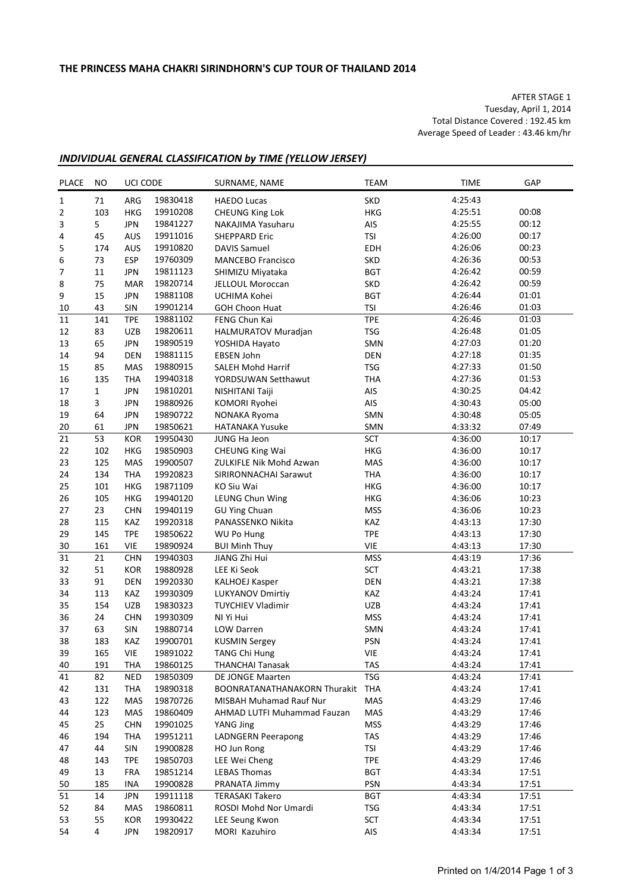AFTER STAGE 1 Tuesday, April 1, 2014 Total Distance Covered : 192.45 km Average Speed of Leader : 43.46 km/hr

## *INDIVIDUAL GENERAL CLASSIFICATION by TIME (YELLOW JERSEY)*

| <b>PLACE</b>             | NO        | UCI CODE   |                      | SURNAME, NAME                                    | <b>TEAM</b>       | <b>TIME</b>        | GAP            |
|--------------------------|-----------|------------|----------------------|--------------------------------------------------|-------------------|--------------------|----------------|
| $\mathbf{1}$             | 71        | ARG        | 19830418             | <b>HAEDO Lucas</b>                               | <b>SKD</b>        | 4:25:43            |                |
| 2                        | 103       | HKG        | 19910208             | <b>CHEUNG King Lok</b>                           | <b>HKG</b>        | 4:25:51            | 00:08          |
| 3                        | 5         | <b>JPN</b> | 19841227             | NAKAJIMA Yasuharu                                | AIS               | 4:25:55            | 00:12          |
| 4                        | 45        | AUS        | 19911016             | <b>SHEPPARD Eric</b>                             | <b>TSI</b>        | 4:26:00            | 00:17          |
| 5                        | 174       | AUS        | 19910820             | <b>DAVIS Samuel</b>                              | <b>EDH</b>        | 4:26:06            | 00:23          |
| 6                        | 73        | <b>ESP</b> | 19760309             | <b>MANCEBO Francisco</b>                         | <b>SKD</b>        | 4:26:36            | 00:53          |
| $\overline{\phantom{a}}$ | 11        | <b>JPN</b> | 19811123             | SHIMIZU Miyataka                                 | <b>BGT</b>        | 4:26:42            | 00:59          |
| 8                        | 75        | <b>MAR</b> | 19820714             | JELLOUL Moroccan                                 | <b>SKD</b>        | 4:26:42            | 00:59          |
| 9                        | 15        | <b>JPN</b> | 19881108             | UCHIMA Kohei                                     | <b>BGT</b>        | 4:26:44            | 01:01          |
| 10                       | 43        | SIN        | 19901214             | <b>GOH Choon Huat</b>                            | <b>TSI</b>        | 4:26:46            | 01:03          |
| 11                       | 141       | <b>TPE</b> | 19881102             | FENG Chun Kai                                    | <b>TPE</b>        | 4:26:46            | 01:03          |
| 12                       | 83        | <b>UZB</b> | 19820611             | HALMURATOV Muradjan                              | <b>TSG</b>        | 4:26:48            | 01:05          |
| 13                       | 65        | <b>JPN</b> | 19890519             | YOSHIDA Hayato                                   | SMN               | 4:27:03            | 01:20          |
| 14                       | 94        | <b>DEN</b> | 19881115             | EBSEN John                                       | <b>DEN</b>        | 4:27:18            | 01:35          |
| 15                       | 85        | MAS        | 19880915             | <b>SALEH Mohd Harrif</b>                         | <b>TSG</b>        | 4:27:33            | 01:50          |
| 16                       | 135       | <b>THA</b> | 19940318             | YORDSUWAN Setthawut                              | <b>THA</b>        | 4:27:36            | 01:53          |
| 17                       | 1         | <b>JPN</b> | 19810201             | NISHITANI Taiji                                  | AIS               | 4:30:25            | 04:42          |
| 18                       | 3         | <b>JPN</b> | 19880926             | KOMORI Ryohei                                    | AIS               | 4:30:43            | 05:00          |
| 19                       | 64        | <b>JPN</b> | 19890722             | NONAKA Ryoma                                     | SMN               | 4:30:48            | 05:05          |
| 20                       | 61        | <b>JPN</b> | 19850621             | <b>HATANAKA Yusuke</b>                           | SMN               | 4:33:32            | 07:49          |
| 21                       | 53        | <b>KOR</b> | 19950430             | JUNG Ha Jeon                                     | <b>SCT</b>        | 4:36:00            | 10:17          |
| 22                       | 102       | HKG        | 19850903             | <b>CHEUNG King Wai</b>                           | <b>HKG</b>        | 4:36:00            | 10:17          |
| 23                       | 125       | MAS        | 19900507             | ZULKIFLE Nik Mohd Azwan                          | MAS               | 4:36:00            | 10:17          |
| 24                       | 134       | <b>THA</b> | 19920823             | SIRIRONNACHAI Sarawut                            | <b>THA</b>        | 4:36:00            | 10:17          |
| 25                       | 101       | HKG        | 19871109             | KO Siu Wai                                       | HKG               | 4:36:00            | 10:17          |
| 26                       | 105       | <b>HKG</b> | 19940120             | LEUNG Chun Wing                                  | HKG               | 4:36:06            | 10:23          |
| 27                       | 23        | <b>CHN</b> | 19940119             | <b>GU Ying Chuan</b>                             | <b>MSS</b>        | 4:36:06            | 10:23          |
| 28                       | 115       | <b>KAZ</b> | 19920318             | PANASSENKO Nikita                                | KAZ               | 4:43:13            | 17:30          |
| 29                       | 145       | <b>TPE</b> | 19850622             |                                                  | <b>TPE</b>        | 4:43:13            | 17:30          |
| $30\,$                   | 161       | <b>VIE</b> | 19890924             | WU Po Hung                                       | <b>VIE</b>        | 4:43:13            | 17:30          |
| 31                       | 21        | <b>CHN</b> | 19940303             | <b>BUI Minh Thuy</b><br>JIANG Zhi Hui            | <b>MSS</b>        | 4:43:19            | 17:36          |
| 32                       | 51        | KOR        | 19880928             | LEE Ki Seok                                      | <b>SCT</b>        | 4:43:21            | 17:38          |
| 33                       | 91        | DEN        | 19920330             |                                                  | <b>DEN</b>        | 4:43:21            | 17:38          |
| 34                       |           |            |                      | <b>KALHOEJ Kasper</b><br><b>LUKYANOV Dmirtiy</b> |                   |                    |                |
|                          | 113       | KAZ        | 19930309             |                                                  | KAZ               | 4:43:24            | 17:41          |
| 35                       | 154<br>24 | <b>UZB</b> | 19830323<br>19930309 | <b>TUYCHIEV Vladimir</b><br>NI Yi Hui            | UZB               | 4:43:24<br>4:43:24 | 17:41<br>17:41 |
| 36                       |           | <b>CHN</b> | 19880714             |                                                  | <b>MSS</b>        |                    | 17:41          |
| 37                       | 63        | SIN        |                      | <b>LOW Darren</b>                                | SMN               | 4:43:24            |                |
| 38                       | 183       | KAZ        | 19900701<br>19891022 | <b>KUSMIN Sergey</b>                             | <b>PSN</b>        | 4:43:24            | 17:41<br>17:41 |
| 39                       | 165       | <b>VIE</b> | 19860125             | TANG Chi Hung                                    | VIE<br><b>TAS</b> | 4:43:24            |                |
| 40                       | 191       | <b>THA</b> |                      | <b>THANCHAI Tanasak</b><br>DE JONGE Maarten      | <b>TSG</b>        | 4:43:24<br>4:43:24 | 17:41          |
| 41                       | 82        | <b>NED</b> | 19850309             |                                                  |                   | 4:43:24            | 17:41          |
| 42                       | 131       | <b>THA</b> | 19890318             | <b>BOONRATANATHANAKORN Thurakit</b>              | <b>THA</b>        |                    | 17:41<br>17:46 |
| 43                       | 122       | MAS        | 19870726             | MISBAH Muhamad Rauf Nur                          | MAS               | 4:43:29            |                |
| 44                       | 123       | MAS        | 19860409             | AHMAD LUTFI Muhammad Fauzan                      | MAS               | 4:43:29            | 17:46          |
| 45                       | 25        | <b>CHN</b> | 19901025             | YANG Jing                                        | <b>MSS</b>        | 4:43:29            | 17:46          |
| 46                       | 194       | <b>THA</b> | 19951211             | <b>LADNGERN Peerapong</b>                        | TAS               | 4:43:29            | 17:46          |
| 47                       | 44        | SIN        | 19900828             | HO Jun Rong                                      | <b>TSI</b>        | 4:43:29            | 17:46          |
| 48                       | 143       | <b>TPE</b> | 19850703             | LEE Wei Cheng                                    | <b>TPE</b>        | 4:43:29            | 17:46          |
| 49                       | 13        | <b>FRA</b> | 19851214             | <b>LEBAS Thomas</b>                              | <b>BGT</b>        | 4:43:34            | 17:51          |
| 50                       | 185       | INA        | 19900828             | PRANATA Jimmy                                    | PSN               | 4:43:34            | 17:51          |
| 51                       | 14        | <b>JPN</b> | 19911118             | <b>TERASAKI Takero</b>                           | <b>BGT</b>        | 4:43:34            | 17:51          |
| 52                       | 84        | MAS        | 19860811             | ROSDI Mohd Nor Umardi                            | <b>TSG</b>        | 4:43:34            | 17:51          |
| 53                       | 55        | KOR        | 19930422             | LEE Seung Kwon                                   | SCT               | 4:43:34            | 17:51          |
| 54                       | 4         | JPN        | 19820917             | MORI Kazuhiro                                    | AIS               | 4:43:34            | 17:51          |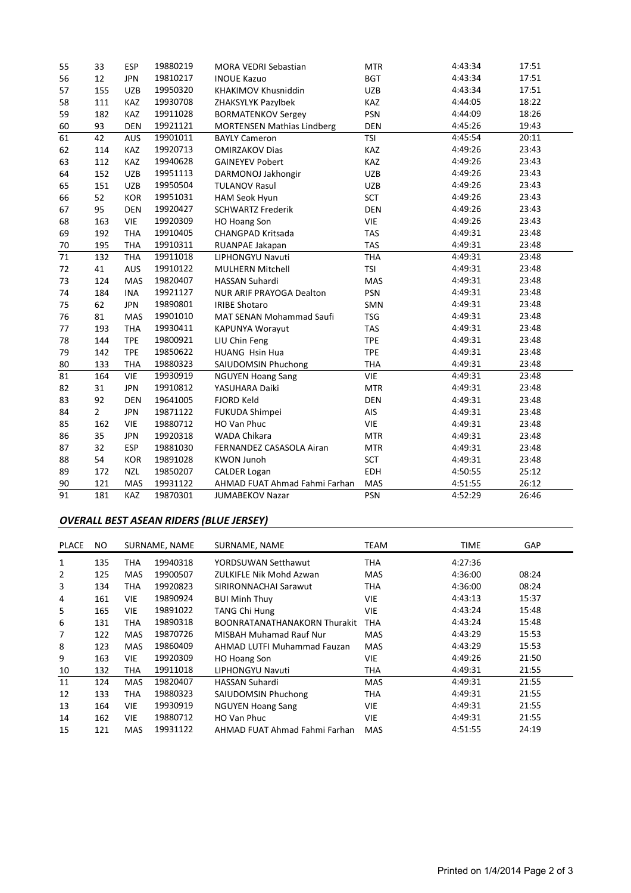| 55 | 33             | <b>ESP</b> | 19880219 | MORA VEDRI Sebastian              | <b>MTR</b> | 4:43:34 | 17:51 |
|----|----------------|------------|----------|-----------------------------------|------------|---------|-------|
| 56 | 12             | <b>JPN</b> | 19810217 | <b>INOUE Kazuo</b>                | <b>BGT</b> | 4:43:34 | 17:51 |
| 57 | 155            | <b>UZB</b> | 19950320 | KHAKIMOV Khusniddin               | <b>UZB</b> | 4:43:34 | 17:51 |
| 58 | 111            | <b>KAZ</b> | 19930708 | ZHAKSYLYK Pazylbek                | <b>KAZ</b> | 4:44:05 | 18:22 |
| 59 | 182            | KAZ        | 19911028 | <b>BORMATENKOV Sergey</b>         | PSN        | 4:44:09 | 18:26 |
| 60 | 93             | <b>DEN</b> | 19921121 | <b>MORTENSEN Mathias Lindberg</b> | DEN        | 4:45:26 | 19:43 |
| 61 | 42             | AUS        | 19901011 | <b>BAYLY Cameron</b>              | <b>TSI</b> | 4:45:54 | 20:11 |
| 62 | 114            | KAZ        | 19920713 | <b>OMIRZAKOV Dias</b>             | KAZ        | 4:49:26 | 23:43 |
| 63 | 112            | <b>KAZ</b> | 19940628 | <b>GAINEYEV Pobert</b>            | KAZ        | 4:49:26 | 23:43 |
| 64 | 152            | UZB        | 19951113 | DARMONOJ Jakhongir                | <b>UZB</b> | 4:49:26 | 23:43 |
| 65 | 151            | <b>UZB</b> | 19950504 | <b>TULANOV Rasul</b>              | <b>UZB</b> | 4:49:26 | 23:43 |
| 66 | 52             | KOR        | 19951031 | HAM Seok Hyun                     | SCT        | 4:49:26 | 23:43 |
| 67 | 95             | <b>DEN</b> | 19920427 | <b>SCHWARTZ Frederik</b>          | DEN        | 4:49:26 | 23:43 |
| 68 | 163            | <b>VIE</b> | 19920309 | <b>HO Hoang Son</b>               | <b>VIE</b> | 4:49:26 | 23:43 |
| 69 | 192            | <b>THA</b> | 19910405 | CHANGPAD Kritsada                 | <b>TAS</b> | 4:49:31 | 23:48 |
| 70 | 195            | <b>THA</b> | 19910311 | RUANPAE Jakapan                   | <b>TAS</b> | 4:49:31 | 23:48 |
| 71 | 132            | <b>THA</b> | 19911018 | LIPHONGYU Navuti                  | <b>THA</b> | 4:49:31 | 23:48 |
| 72 | 41             | <b>AUS</b> | 19910122 | <b>MULHERN Mitchell</b>           | <b>TSI</b> | 4:49:31 | 23:48 |
| 73 | 124            | <b>MAS</b> | 19820407 | HASSAN Suhardi                    | MAS        | 4:49:31 | 23:48 |
| 74 | 184            | <b>INA</b> | 19921127 | <b>NUR ARIF PRAYOGA Dealton</b>   | PSN        | 4:49:31 | 23:48 |
| 75 | 62             | <b>JPN</b> | 19890801 | <b>IRIBE Shotaro</b>              | SMN        | 4:49:31 | 23:48 |
| 76 | 81             | <b>MAS</b> | 19901010 | MAT SENAN Mohammad Saufi          | <b>TSG</b> | 4:49:31 | 23:48 |
| 77 | 193            | <b>THA</b> | 19930411 | <b>KAPUNYA Worayut</b>            | <b>TAS</b> | 4:49:31 | 23:48 |
| 78 | 144            | <b>TPE</b> | 19800921 | LIU Chin Feng                     | <b>TPE</b> | 4:49:31 | 23:48 |
| 79 | 142            | <b>TPE</b> | 19850622 | <b>HUANG Hsin Hua</b>             | <b>TPE</b> | 4:49:31 | 23:48 |
| 80 | 133            | <b>THA</b> | 19880323 | SAIUDOMSIN Phuchong               | <b>THA</b> | 4:49:31 | 23:48 |
| 81 | 164            | <b>VIE</b> | 19930919 | <b>NGUYEN Hoang Sang</b>          | <b>VIE</b> | 4:49:31 | 23:48 |
| 82 | 31             | <b>JPN</b> | 19910812 | YASUHARA Daiki                    | <b>MTR</b> | 4:49:31 | 23:48 |
| 83 | 92             | <b>DEN</b> | 19641005 | FJORD Keld                        | DEN        | 4:49:31 | 23:48 |
| 84 | $\overline{2}$ | <b>JPN</b> | 19871122 | FUKUDA Shimpei                    | AIS        | 4:49:31 | 23:48 |
| 85 | 162            | <b>VIE</b> | 19880712 | HO Van Phuc                       | <b>VIE</b> | 4:49:31 | 23:48 |
| 86 | 35             | <b>JPN</b> | 19920318 | <b>WADA Chikara</b>               | <b>MTR</b> | 4:49:31 | 23:48 |
| 87 | 32             | <b>ESP</b> | 19881030 | FERNANDEZ CASASOLA Airan          | <b>MTR</b> | 4:49:31 | 23:48 |
| 88 | 54             | <b>KOR</b> | 19891028 | <b>KWON Junoh</b>                 | <b>SCT</b> | 4:49:31 | 23:48 |
| 89 | 172            | <b>NZL</b> | 19850207 | <b>CALDER Logan</b>               | <b>EDH</b> | 4:50:55 | 25:12 |
| 90 | 121            | <b>MAS</b> | 19931122 | AHMAD FUAT Ahmad Fahmi Farhan     | MAS        | 4:51:55 | 26:12 |
| 91 | 181            | KAZ        | 19870301 | <b>JUMABEKOV Nazar</b>            | <b>PSN</b> | 4:52:29 | 26:46 |

# *OVERALL BEST ASEAN RIDERS (BLUE JERSEY)*

| <b>PLACE</b> | NO. |            | SURNAME, NAME | SURNAME, NAME                       | <b>TEAM</b> | TIME    | <b>GAP</b> |
|--------------|-----|------------|---------------|-------------------------------------|-------------|---------|------------|
| 1            | 135 | THA        | 19940318      | YORDSUWAN Setthawut                 | <b>THA</b>  | 4:27:36 |            |
| 2            | 125 | <b>MAS</b> | 19900507      | <b>ZULKIFLE Nik Mohd Azwan</b>      | <b>MAS</b>  | 4:36:00 | 08:24      |
| 3            | 134 | THA        | 19920823      | SIRIRONNACHAI Sarawut               | <b>THA</b>  | 4:36:00 | 08:24      |
| 4            | 161 | <b>VIE</b> | 19890924      | <b>BUI Minh Thuy</b>                | <b>VIE</b>  | 4:43:13 | 15:37      |
| 5            | 165 | VIE        | 19891022      | <b>TANG Chi Hung</b>                | <b>VIE</b>  | 4:43:24 | 15:48      |
| 6            | 131 | THA        | 19890318      | <b>BOONRATANATHANAKORN Thurakit</b> | <b>THA</b>  | 4:43:24 | 15:48      |
| 7            | 122 | <b>MAS</b> | 19870726      | <b>MISBAH Muhamad Rauf Nur</b>      | <b>MAS</b>  | 4:43:29 | 15:53      |
| 8            | 123 | <b>MAS</b> | 19860409      | AHMAD LUTFI Muhammad Fauzan         | <b>MAS</b>  | 4:43:29 | 15:53      |
| 9            | 163 | <b>VIE</b> | 19920309      | HO Hoang Son                        | <b>VIE</b>  | 4:49:26 | 21:50      |
| 10           | 132 | THA        | 19911018      | LIPHONGYU Navuti                    | <b>THA</b>  | 4:49:31 | 21:55      |
| 11           | 124 | <b>MAS</b> | 19820407      | <b>HASSAN Suhardi</b>               | <b>MAS</b>  | 4:49:31 | 21:55      |
| 12           | 133 | THA        | 19880323      | <b>SAIUDOMSIN Phuchong</b>          | <b>THA</b>  | 4:49:31 | 21:55      |
| 13           | 164 | <b>VIE</b> | 19930919      | <b>NGUYEN Hoang Sang</b>            | <b>VIE</b>  | 4:49:31 | 21:55      |
| 14           | 162 | <b>VIE</b> | 19880712      | HO Van Phuc                         | <b>VIE</b>  | 4:49:31 | 21:55      |
| 15           | 121 | MAS        | 19931122      | AHMAD FUAT Ahmad Fahmi Farhan       | <b>MAS</b>  | 4:51:55 | 24:19      |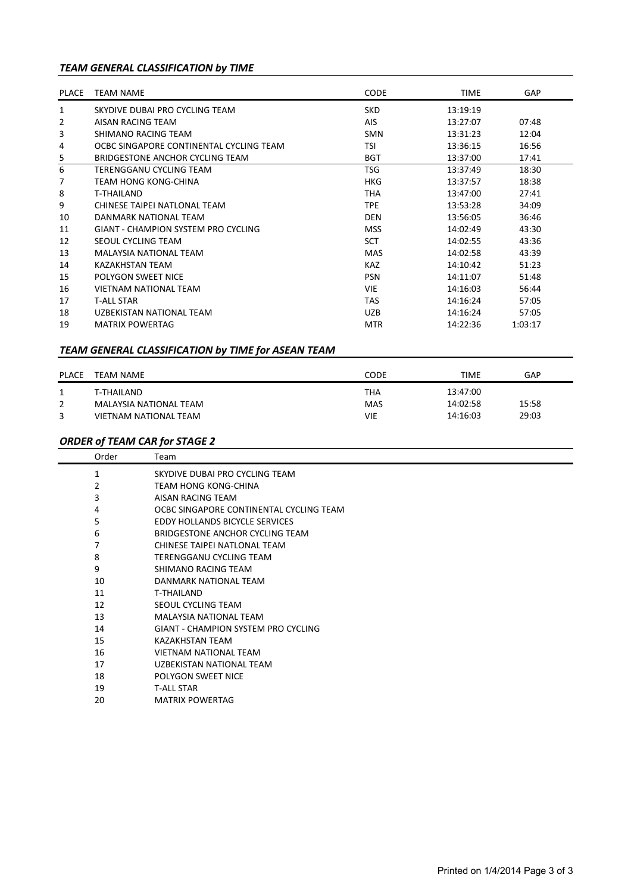# *TEAM GENERAL CLASSIFICATION by TIME*

| <b>PLACE</b> | <b>TEAM NAME</b>                        | <b>CODE</b> | <b>TIME</b> | GAP     |
|--------------|-----------------------------------------|-------------|-------------|---------|
| 1            | SKYDIVE DUBAI PRO CYCLING TEAM          | <b>SKD</b>  | 13:19:19    |         |
| 2            | AISAN RACING TEAM                       | AIS.        | 13:27:07    | 07:48   |
| 3            | SHIMANO RACING TEAM                     | <b>SMN</b>  | 13:31:23    | 12:04   |
| 4            | OCBC SINGAPORE CONTINENTAL CYCLING TEAM | <b>TSI</b>  | 13:36:15    | 16:56   |
| 5            | BRIDGESTONE ANCHOR CYCLING TEAM         | <b>BGT</b>  | 13:37:00    | 17:41   |
| 6            | TERENGGANU CYCLING TEAM                 | <b>TSG</b>  | 13:37:49    | 18:30   |
| 7            | TFAM HONG KONG-CHINA                    | HKG         | 13:37:57    | 18:38   |
| 8            | T-THAILAND                              | <b>THA</b>  | 13:47:00    | 27:41   |
| 9            | CHINESE TAIPEI NATIONAL TEAM            | <b>TPE</b>  | 13:53:28    | 34:09   |
| 10           | DANMARK NATIONAL TEAM                   | <b>DEN</b>  | 13:56:05    | 36:46   |
| 11           | GIANT - CHAMPION SYSTEM PRO CYCLING     | <b>MSS</b>  | 14:02:49    | 43:30   |
| 12           | SEOUL CYCLING TEAM                      | <b>SCT</b>  | 14:02:55    | 43:36   |
| 13           | MAI AYSIA NATIONAL TFAM                 | <b>MAS</b>  | 14:02:58    | 43:39   |
| 14           | KAZAKHSTAN TEAM                         | <b>KAZ</b>  | 14:10:42    | 51:23   |
| 15           | POLYGON SWEET NICE                      | <b>PSN</b>  | 14:11:07    | 51:48   |
| 16           | VIFTNAM NATIONAL TFAM                   | <b>VIE</b>  | 14:16:03    | 56:44   |
| 17           | <b>T-ALL STAR</b>                       | <b>TAS</b>  | 14:16:24    | 57:05   |
| 18           | UZBEKISTAN NATIONAL TEAM                | <b>UZB</b>  | 14:16:24    | 57:05   |
| 19           | <b>MATRIX POWERTAG</b>                  | <b>MTR</b>  | 14:22:36    | 1:03:17 |

# *TEAM GENERAL CLASSIFICATION by TIME for ASEAN TEAM*

| <b>PLACE</b> | <b>TEAM NAME</b>       | CODE       | <b>TIME</b> | GAP   |
|--------------|------------------------|------------|-------------|-------|
|              | T-THAILAND             | THA        | 13:47:00    |       |
| 2            | MALAYSIA NATIONAL TEAM | <b>MAS</b> | 14:02:58    | 15:58 |
| 3            | VIETNAM NATIONAL TEAM  | VIE        | 14:16:03    | 29:03 |

## *ORDER of TEAM CAR for STAGE 2*

J.

| Order | Team                                       |
|-------|--------------------------------------------|
| 1     | SKYDIVE DUBAI PRO CYCLING TEAM             |
| 2     | TEAM HONG KONG-CHINA                       |
| 3     | AISAN RACING TEAM                          |
| 4     | OCBC SINGAPORE CONTINENTAL CYCLING TEAM    |
| 5     | EDDY HOLLANDS BICYCLE SERVICES             |
| 6     | BRIDGESTONE ANCHOR CYCLING TEAM            |
| 7     | CHINESE TAIPEI NATLONAL TEAM               |
| 8     | TERENGGANU CYCLING TEAM                    |
| 9     | SHIMANO RACING TEAM                        |
| 10    | DANMARK NATIONAL TEAM                      |
| 11    | <b>T-THAILAND</b>                          |
| 12    | SEOUL CYCLING TEAM                         |
| 13    | <b>MALAYSIA NATIONAL TEAM</b>              |
| 14    | <b>GIANT - CHAMPION SYSTEM PRO CYCLING</b> |
| 15    | <b>KAZAKHSTAN TEAM</b>                     |
| 16    | <b>VIETNAM NATIONAL TEAM</b>               |
| 17    | UZBEKISTAN NATIONAL TEAM                   |
| 18    | POLYGON SWEET NICE                         |
| 19    | <b>T-ALL STAR</b>                          |
| 20    | <b>MATRIX POWERTAG</b>                     |
|       |                                            |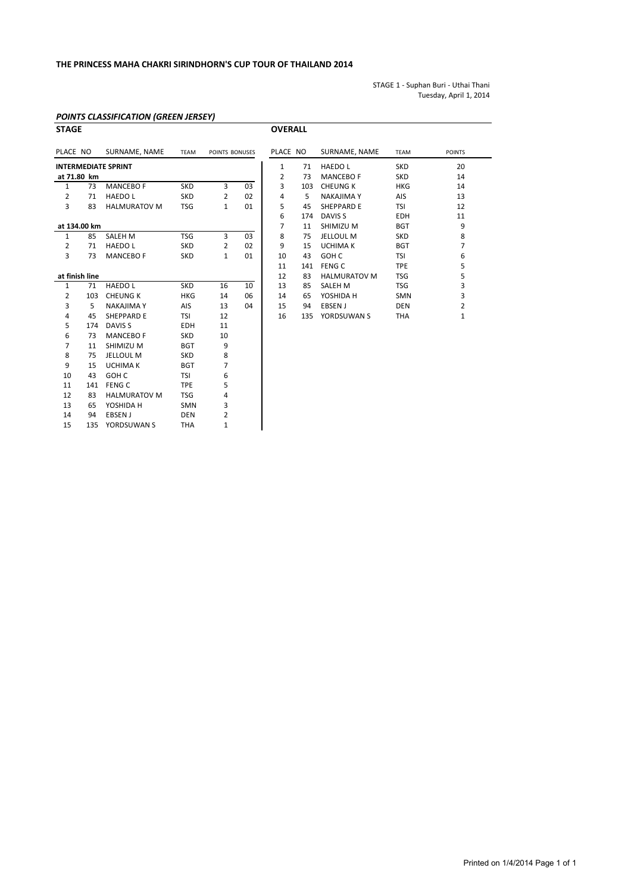STAGE 1 - Suphan Buri - Uthai Thani Tuesday, April 1, 2014

#### *POINTS CLASSIFICATION (GREEN JERSEY)*

10 43 GOH C TSI 6 11 141 FENG C TPE 5 12 83 HALMURATOV M TSG 4 13 65 YOSHIDA H SMN 3 14 94 EBSEN J DEN 2 15 135 YORDSUWAN S THA 1

| <b>STAGE</b>   |                |                            |             |                |    | <b>OVERALL</b> |            |                     |             |               |
|----------------|----------------|----------------------------|-------------|----------------|----|----------------|------------|---------------------|-------------|---------------|
| PLACE NO       |                | SURNAME, NAME              | <b>TEAM</b> | POINTS BONUSES |    | PLACE NO       |            | SURNAME, NAME       | <b>TEAM</b> | <b>POINTS</b> |
|                |                | <b>INTERMEDIATE SPRINT</b> |             |                |    | 1              | 71         | <b>HAEDOL</b>       | <b>SKD</b>  | 20            |
|                | at 71.80 km    |                            |             |                |    | 2              | 73         | <b>MANCEBO F</b>    | <b>SKD</b>  | 14            |
| 1              | 73             | <b>MANCEBO F</b>           | <b>SKD</b>  | 3              | 03 | 3              | 103        | <b>CHEUNG K</b>     | <b>HKG</b>  | 14            |
| 2              | 71             | <b>HAEDOL</b>              | <b>SKD</b>  | 2              | 02 | 4              | 5          | <b>NAKAJIMA Y</b>   | AIS         | 13            |
| 3              | 83             | <b>HALMURATOV M</b>        | <b>TSG</b>  | $\mathbf{1}$   | 01 | 5              | 45         | <b>SHEPPARD E</b>   | TSI         | 12            |
|                |                |                            |             |                |    | 6              | 174        | DAVIS <sub>S</sub>  | <b>EDH</b>  | 11            |
| at 134.00 km   |                |                            |             | 7              | 11 | SHIMIZU M      | <b>BGT</b> | 9                   |             |               |
| $\mathbf{1}$   | 85             | <b>SALEH M</b>             | <b>TSG</b>  | 3              | 03 | 8              | 75         | <b>JELLOUL M</b>    | <b>SKD</b>  | 8             |
| $\overline{2}$ | 71             | <b>HAEDOL</b>              | <b>SKD</b>  | $\overline{2}$ | 02 | 9              | 15         | <b>UCHIMA K</b>     | <b>BGT</b>  | 7             |
| 3              | 73             | <b>MANCEBO F</b>           | <b>SKD</b>  | $\mathbf{1}$   | 01 | 10             | 43         | GOH C               | TSI         | 6             |
|                |                |                            |             |                |    | 11             | 141        | <b>FENG C</b>       | <b>TPE</b>  | 5             |
|                | at finish line |                            |             |                |    | 12             | 83         | <b>HALMURATOV M</b> | <b>TSG</b>  | 5             |
| $\mathbf{1}$   | 71             | <b>HAEDOL</b>              | <b>SKD</b>  | 16             | 10 | 13             | 85         | SALEH M             | <b>TSG</b>  | 3             |
| 2              | 103            | <b>CHEUNG K</b>            | <b>HKG</b>  | 14             | 06 | 14             | 65         | YOSHIDA H           | <b>SMN</b>  | 3             |
| 3              | 5              | <b>NAKAJIMA Y</b>          | AIS         | 13             | 04 | 15             | 94         | EBSEN J             | <b>DEN</b>  | 2             |
| 4              | 45             | <b>SHEPPARD E</b>          | <b>TSI</b>  | 12             |    | 16             | 135        | YORDSUWAN S         | <b>THA</b>  | $\mathbf{1}$  |
| 5              | 174            | DAVIS <sub>S</sub>         | <b>EDH</b>  | 11             |    |                |            |                     |             |               |
| 6              | 73             | <b>MANCEBO F</b>           | <b>SKD</b>  | 10             |    |                |            |                     |             |               |
| 7              | 11             | SHIMIZU M                  | <b>BGT</b>  | 9              |    |                |            |                     |             |               |
| 8              | 75             | <b>JELLOUL M</b>           | <b>SKD</b>  | 8              |    |                |            |                     |             |               |
| 9              | 15             | <b>UCHIMA K</b>            | <b>BGT</b>  | 7              |    |                |            |                     |             |               |